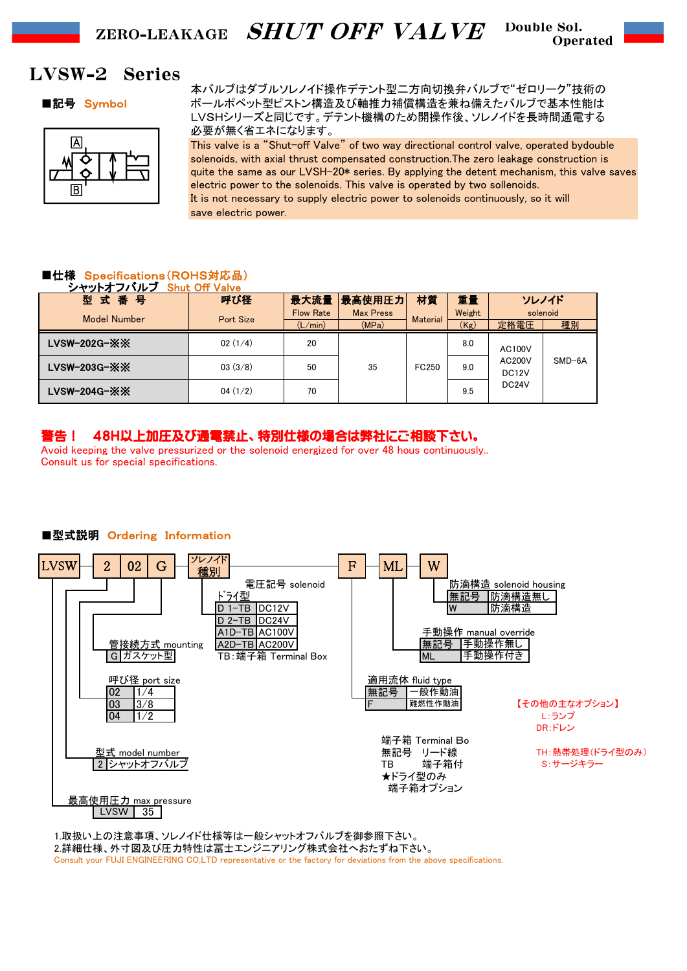Double Sol. Operated

# LVSW-2 Series



本バルブはダブルソレノイド操作デテント型二方向切換弁バルブで"ゼロリーク"技術の ■記号 Symbol ポールポペット型ピストン構造及び軸推力補償構造を兼ね備えたバルブで基本性能は LVSHシリーズと同じです。デテント機構のため開操作後、ソレノイドを長時間通電する 必要が無く省エネになります。

> This valve is a "Shut-off Valve" of two way directional control valve, operated bydouble solenoids, with axial thrust compensated construction.The zero leakage construction is quite the same as our LVSH-20\* series. By applying the detent mechanism, this valve saves electric power to the solenoids. This valve is operated by two sollenoids. It is not necessary to supply electric power to solenoids continuously, so it will save electric power.

## ■仕様 Specifications(ROHS対応品)

| シャットオフバルブ Shut Off Valve          |           |                  |                  |                 |        |                                                                            |          |
|-----------------------------------|-----------|------------------|------------------|-----------------|--------|----------------------------------------------------------------------------|----------|
| 型式番号                              | 呼び径       |                  | 最大流量 最高使用圧力      | 材質              | 重量     | ソレノイド                                                                      |          |
| <b>Model Number</b>               | Port Size | <b>Flow Rate</b> | <b>Max Press</b> | <b>Material</b> | Weight | solenoid                                                                   |          |
|                                   |           | (L/min)          | (MPa)            |                 | (Kg)   | 定格電圧                                                                       | 種別       |
| LVSW-202G- $\mathbb{X}\mathbb{X}$ | 02(1/4)   | 20               |                  | FC250           | 8.0    | <b>AC100V</b><br><b>AC200V</b><br>DC <sub>12</sub> V<br>DC <sub>24</sub> V | $SMD-6A$ |
| $LVSW-203G-XX$                    | 03(3/8)   | 50               | 35               |                 | 9.0    |                                                                            |          |
| LVSW-204G- $\mathbb{X}\mathbb{X}$ | 04(1/2)   | 70               |                  |                 | 9.5    |                                                                            |          |

## 警告! 48H以上加圧及び通電禁止、特別仕様の場合は弊社にご相談下さい。

Avoid keeping the valve pressurized or the solenoid energized for over 48 hous continuously.. Consult us for special specifications.



## ■型式説明 Ordering Information

1.取扱い上の注意事項、ソレノイド仕様等は一般シャットオフバルブを御参照下さい。 2.詳細仕様、外寸図及び圧力特性は冨士エンジニアリング株式会社へおたずね下さい。 Consult your FUJI ENGINEERING CO,LTD representative or the factory for deviations from the above specifications.